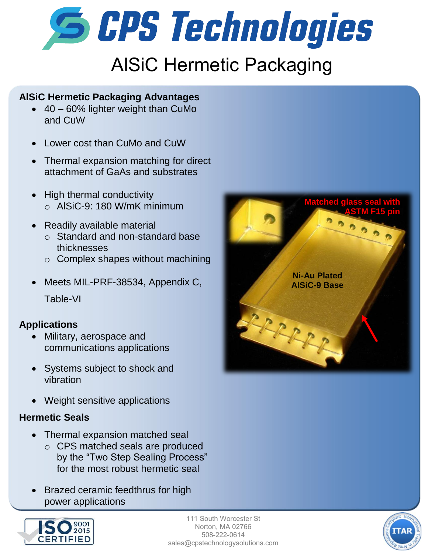

# AlSiC Hermetic Packaging

#### **AlSiC Hermetic Packaging Advantages**

- 40 60% lighter weight than CuMo and CuW
- Lower cost than CuMo and CuW
- Thermal expansion matching for direct attachment of GaAs and substrates
- High thermal conductivity o AlSiC-9: 180 W/mK minimum
- Readily available material
	- o Standard and non-standard base thicknesses
	- o Complex shapes without machining
- Meets MIL-PRF-38534, Appendix C, Table-VI

### **Applications**

- Military, aerospace and communications applications
- Systems subject to shock and vibration
- Weight sensitive applications

### **Hermetic Seals**

- Thermal expansion matched seal
	- o CPS matched seals are produced by the "Two Step Sealing Process" for the most robust hermetic seal
- Brazed ceramic feedthrus for high power applications